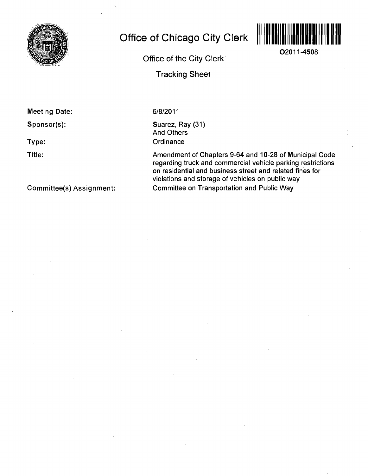

## **Office of Chicago City Clerk**

Office of the City Clerk

Tracking Sheet



**02011-4508** 

**Meeting Date:** 

**Sponsor(s):** 

**Type:** 

**Title:** 

6/8/2011

Suarez, Ray (31) And Others **Ordinance** 

Amendment of Chapters 9-64 and 10-28 of Municipal Code regarding truck and commercial vehicle parking restrictions on residential and business street and related fines for violations and storage of vehicles on public way Committee on Transportation and Public Way

**Committee(s) Assignment:**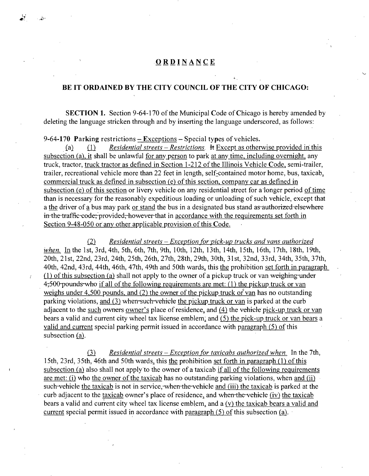## **ORDINANC E**

## **BE IT ORDAINED BY THE CITY COUNCIL OF THE CITY OF CHICAGO:**

SECTION 1. Section 9-64-170 of the Municipal Code of Chicago is hereby amended by deleting the language stricken through and by inserting the language underscored, as follows:

9-64-170 Parking restrictions <u>– Exceptions</u> – Special types of vehicles.

(a)  $(1)$  Residential streets – Restrictions. H Except as otherwise provided in this subsection (a), it shall be unlawful for any person to park at any time, including overnight, any truck, tractor, truck tractor as defined in Section 1-212 of the Illinois Vehicle Code, semi-trailer, trailer, recreational vehicle more than 22 feet in length, self-contained motor home, bus, taxicab^ commercial truck as defined in subsection (e) of this section, company car as defined in subsection (e) of this section or livery vehicle on any residential street for a longer period of time than is necessary for the reasonably expeditious loading or unloading of such vehicle, except that a the driver of a bus may park or stand the bus in a designated bus stand as authorized elsewhere in the traffic code; provided, however that in accordance with the requirements set forth in Section 9-48-050 or any other applicable provision of this Code.

 ${2}$  Residential streets – Exception for pick-up trucks and vans authorized when. In the 1st, 3rd, 4th, 5th, 6th, 7th, 9th, 10th, 12th, 13th, 14th, 15th, 16th, 17th, 18th, 19th, 20th, 21st, 22nd, 23rd, 24th, 25th, 26th, 27th, 28th, 29th, 30th, 31st, 32nd, 33rd, 34th, 35th, 37th, 40th, 42nd, 43rd, 44th, 46th, 47th, 49th and 50th wards^ this the prohibition set forth in paragraph  $(1)$  of this subsection (a) shall not apply to the owner of a pickup truck or van weighing-under 4,500 pounds who if all of the following requirements are met: (1) the pickup truck or van weighs under 4,500 pounds, and (2) the owner of the pickup truck or van has no outstanding parking violations, and (3) when such vehicle the pickup truck or van is parked at the curb adjacent to the such owners owner's place of residence, and (4) the vehicle pick-up truck or van bears a valid and current city wheel tax license emblem, and (5) the pick-up truck or van bears a valid and current special parking permit issued in accordance with paragraph (5) of this subsection (a).

 $(3)$  Residential streets – Exception for taxicabs authorized when. In the 7th, 15th, 23rd, 35th, 46th and 50th wards, this the prohibition set forth in paragraph (1) of this subsection (a) also shall not apply to the owner of a taxicab if all of the following requirements are met: (i) who the owner of the taxicab has no outstanding parking violations, when and (ii) such-vehicle the taxicab is not in service, when the vehicle and (iii) the taxicab is parked at the curb adjacent to the taxicab owner's place of residence, and when the vehicle (iv) the taxicab bears a valid and current city wheel tax license emblem, and a  $(v)$  the taxicab bears a valid and current special permit issued in accordance with paragraph (5) of this subsection (a).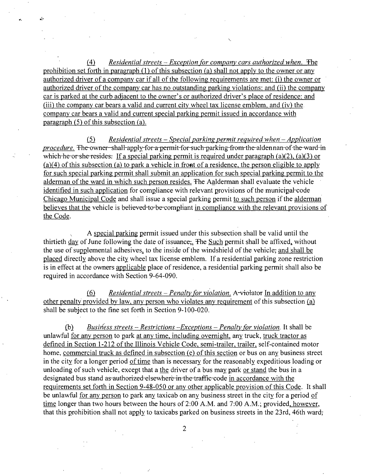(4) Residential streets  $-$  Exception for company cars authorized when. The prohibition set forth in paragraph  $(1)$  of this subsection  $(a)$  shall not apply to the owner or any authorized driver of a company car if all of the following requirements are met: (i) the owner or authorized driver of the company car has no outstanding parking violations: and (ii) the company car is parked at the curb adjacent to the owner's or authorized driver's place of residence: and (iii) the company car bears a valid and current city wheel tax license emblem, and (iv) the. company car bears a valid and current special parking permit issued in accordance with paragraph (5) of this subsection (a).

Д.

 $\mathbf{e}_\mathrm{A}$ 

 $(5)$  Residential streets – Special parking permit required when – Application procedure. The owner shall apply for a permit for such parking from the aldennan of the ward in which he or she resides. If a special parking permit is required under paragraph (a)(2), (a)(3) or (a)(4) of this subsection (a) to park a vehicle in froat of a residence, the person eligible to apply for such special parking permit shall submit an application for such special parking permit to the alderman of the ward in which such person resides. The Aalderman shall evaluate the vehicle identified in such application for compliance with relevant provisions of the municipal-code Chicago Municipal Code and shall issue a special parking permit to such person if the alderman believes that the vehicle is believed to be compliant in compliance with the relevant provisions of the Code.

A special parking permit issued under this subsection shall be valid until the thirtieth day of June following the date of issuance<sub> $\overline{z}$ </sub>. The Such permit shall be affixed, without the use of supplemental adhesives, to the inside of the windshield of the vehicle; and shall be placed directly above the city wheel tax license emblem. If a residential parking zone restriction is in effect at the owners applicable place of residence, a residential parking permit shall also be required in accordance with Section 9-64-090.

 $(6)$  Residential streets – Penalty for violation. A violator In addition to any other penalty provided by law, any person who violates any requirement of this subsection (a) shall be subject to the fine set forth in Section 9-100-020.

(b) Business streets  $-R$  estrictions  $-R$  xeeptions  $-P$  enalty for violation. It shall be unlawful for any person to park at any time, including overnight, any truck, truck tractor as defined in Section 1-212 of the Illinois Vehicle Code, semi-trailer, trailer, self-contained motor home, commercial truck as defined in subsection (e) of this section or bus on any business street in the city for a longer period of time than is necessary for the reasonably expeditious loading or unloading of such vehicle, except that a the driver of a bus may park or stand the bus in a designated bus stand as authorized elsewhere in the traffic code in accordance with the requirements set forth in Section 9-48-050 or any other applicable provision of this Code. It shall be unlawful for any person to park any taxicab on any business street in the city for a period of time longer than two hours between the hours of 2:00 A.M. and 7:00 A.M.; provided, however, that this prohibition shall not apply to taxicabs parked on business streets in the 23rd, 46th ward.

 $\overline{2}$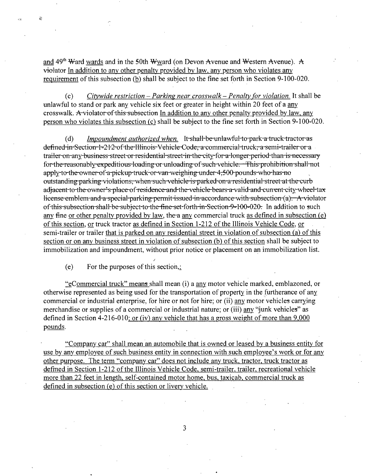and  $49<sup>th</sup>$  Ward wards and in the 50th Wward (on Devon Avenue and Western Avenue). A violator In addition to any other penalty provided by law, any person who violates any requirement of this subsection (b) shall be subject to the fine set forth in Section 9-100-020.

(c) Citywide restriction – Parking near crosswalk – Penalty for violation. It shall be unlawful to stand or park any vehicle six feet or greater in height within 20 feet of a any crosswalk. A violator of this subsection In addition to any other penalty provided by law, any person who violates this subsection (c) shall be subject to the fine set forth in Section 9-100-020.

(d) Impoundment authorized when. It-shall-be-unlawful-to-park-a-truck-tractor-as defined in Section 1=212 of the Illinois Vehicle Code, a commercial truck, a semi-trailer or a trailer on any business street or residential street in the city for a longer period than is necessary for the reasonably expeditious loading or unloading of such vehicle. This prohibition shall not apply-to-the-owner-of-a-pickup-truck-or-van-weighing-under-4,500-pounds-who-has-no outstanding parking violations, when such vehicle is parked on a residential street at the curb adjacent to the owner's place of residence and the vehicle bears a valid and cun ent city wheel tax license emblem and a special parking permit issued in accordance with subsection (a). A violator of this subsection shall be subject to the fine set forth in Section 9-100-020. In addition to such any fine or other penalty provided by law, the a any commercial truck as defined in subsection  $(e)$ of this section, or truck tractor as defined in Section 1-212 of the Illinois Vehicle Code, or semi-trailer or trailer that is parked on any residential street in violation of subsection (a) of this section or on any business street in violation of subsection (b) of this section shall be subject to immobilization and impoundment, without prior notice or placement on an immobilization list.

(e) For the purposes of this section, $\therefore$ 

 $\tilde{a}$ 

"eCommercial truck" means shall mean (i) a any motor vehicle marked, emblazoned, or otherwise represented as being used for the transportation of property in the furtherance of any commercial or industrial enterprise, for hire or not for hire; or (ii) any motor vehicles carrying merchandise or supplies of a commercial or industrial nature; or (iii) any "junk vehicles" as defined in Section 4-216-010; or (iv) any vehicle that has a gross weight of more than 9,000 pounds.

"Company car" shall mean an automobile that is owned or leased by a business entity for use by any employee of such business entity in connection with such employee's work or for any other purpose. The term "company car" does not include any truck, tractor, truck tractor as defmed in Section 1-212 of the Illinois Vehicle Code, semi-trailer, trailer, recreational vehicle more than 22 feet in length, self-contained motor home, bus, taxicab, commercial truck as defined in subsection (e) of this section or livery vehicle.

3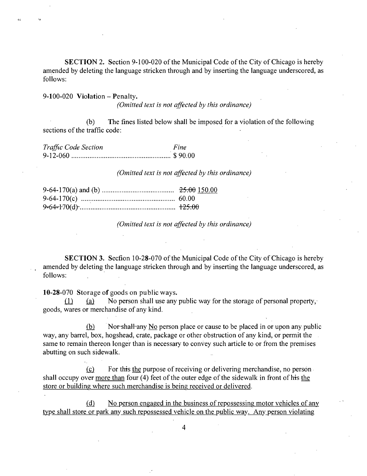SECTION 2. Section 9-100-020 of the Municipal Code of the City of Chicago is hereby amended by deleting the language stricken through and by inserting the language underscored, as follows:

## **9-100-020 Violation - Penalty.**

*(Omitted text is not affected by this ordinance)* 

(b) The fines listed below shall be imposed for a violation of the following sections of the traffic code:

Traffic Code Section Fine 9-12-060 \$90.00

*(Omitted text is not affected by this ordinance)* 

*(Omitted text is not affected by this ordinance)* 

SECTION 3. Secfion 10-28-070 of the Municipal Code of the City of Chicago is hereby amended by deleting the language stricken through and by inserting the language underscored, as follows:

10-28-070 Storage of goods on public ways.

(1) (a) No person shall use any public way for the storage of personal property, goods, wares or merchandise of any kind.

 $(b)$  Nor-shall any No person place or cause to be placed in or upon any public way, any barrel, box, hogshead, crate, package or other obstruction of any kind, or permit the same to remain thereon longer than is necessary to convey such article to or from the premises abutting on such sidewalk.

(c) For this the purpose of receiving or delivering merchandise, no person shall occupy over more than four (4) feet of the outer edge of the sidewalk in front of his the store or building where such merchandise is being received or delivered.

(d) No person engaged in the business of repossessing motor vehicles of any type shall store or park any such repossessed vehicle on the public way. Any person violating